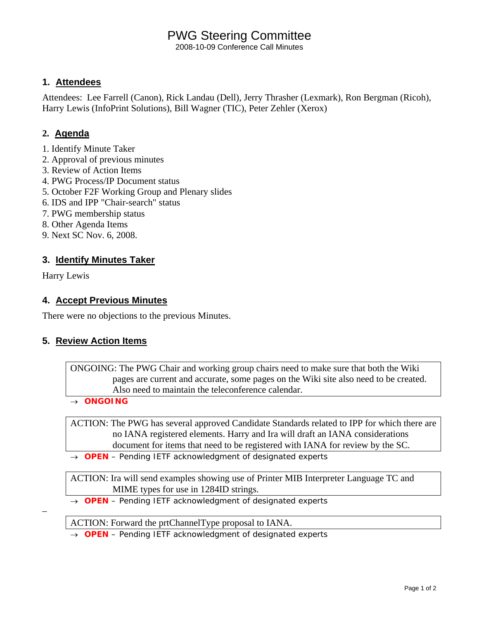# PWG Steering Committee

2008-10-09 Conference Call Minutes

## **1. Attendees**

Attendees: Lee Farrell (Canon), Rick Landau (Dell), Jerry Thrasher (Lexmark), Ron Bergman (Ricoh), Harry Lewis (InfoPrint Solutions), Bill Wagner (TIC), Peter Zehler (Xerox)

## **2. Agenda**

- 1. Identify Minute Taker
- 2. Approval of previous minutes
- 3. Review of Action Items
- 4. PWG Process/IP Document status
- 5. October F2F Working Group and Plenary slides
- 6. IDS and IPP "Chair-search" status
- 7. PWG membership status
- 8. Other Agenda Items
- 9. Next SC Nov. 6, 2008.

### **3. Identify Minutes Taker**

Harry Lewis

–

### **4. Accept Previous Minutes**

There were no objections to the previous Minutes.

### **5. Review Action Items**

ONGOING: The PWG Chair and working group chairs need to make sure that both the Wiki pages are current and accurate, some pages on the Wiki site also need to be created. Also need to maintain the teleconference calendar.

→ *ONGOING* 

ACTION: The PWG has several approved Candidate Standards related to IPP for which there are no IANA registered elements. Harry and Ira will draft an IANA considerations document for items that need to be registered with IANA for review by the SC.

→ *OPEN – Pending IETF acknowledgment of designated experts* 

ACTION: Ira will send examples showing use of Printer MIB Interpreter Language TC and MIME types for use in 1284ID strings.

→ *OPEN – Pending IETF acknowledgment of designated experts* 

ACTION: Forward the prtChannelType proposal to IANA.

→ *OPEN – Pending IETF acknowledgment of designated experts*